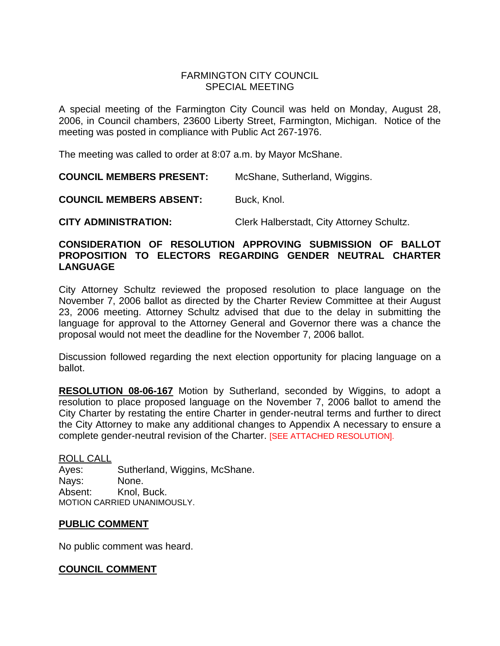### FARMINGTON CITY COUNCIL SPECIAL MEETING

A special meeting of the Farmington City Council was held on Monday, August 28, 2006, in Council chambers, 23600 Liberty Street, Farmington, Michigan. Notice of the meeting was posted in compliance with Public Act 267-1976.

The meeting was called to order at 8:07 a.m. by Mayor McShane.

**COUNCIL MEMBERS PRESENT:** McShane, Sutherland, Wiggins.

**COUNCIL MEMBERS ABSENT:** Buck, Knol.

**CITY ADMINISTRATION:** Clerk Halberstadt, City Attorney Schultz.

#### **CONSIDERATION OF RESOLUTION APPROVING SUBMISSION OF BALLOT PROPOSITION TO ELECTORS REGARDING GENDER NEUTRAL CHARTER LANGUAGE**

City Attorney Schultz reviewed the proposed resolution to place language on the November 7, 2006 ballot as directed by the Charter Review Committee at their August 23, 2006 meeting. Attorney Schultz advised that due to the delay in submitting the language for approval to the Attorney General and Governor there was a chance the proposal would not meet the deadline for the November 7, 2006 ballot.

Discussion followed regarding the next election opportunity for placing language on a ballot.

**RESOLUTION 08-06-167** Motion by Sutherland, seconded by Wiggins, to adopt a resolution to place proposed language on the November 7, 2006 ballot to amend the City Charter by restating the entire Charter in gender-neutral terms and further to direct the City Attorney to make any additional changes to Appendix A necessary to ensure a complete gender-neutral revision of the Charter. [SEE ATTACHED RESOLUTION].

ROLL CALL Ayes: Sutherland, Wiggins, McShane. Nays: None. Absent: Knol, Buck. MOTION CARRIED UNANIMOUSLY.

#### **PUBLIC COMMENT**

No public comment was heard.

#### **COUNCIL COMMENT**